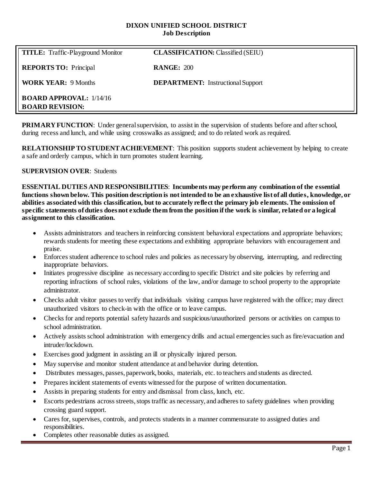### **DIXON UNIFIED SCHOOL DISTRICT Job Description**

| <b>TITLE:</b> Traffic-Playground Monitor                   | <b>CLASSIFICATION: Classified (SEIU)</b> |
|------------------------------------------------------------|------------------------------------------|
| <b>REPORTS TO:</b> Principal                               | <b>RANGE: 200</b>                        |
| <b>WORK YEAR: 9 Months</b>                                 | <b>DEPARTMENT:</b> Instructional Support |
| <b>BOARD APPROVAL:</b> $1/14/16$<br><b>BOARD REVISION:</b> |                                          |

**PRIMARY FUNCTION:** Under general supervision, to assist in the supervision of students before and after school, during recess and lunch, and while using crosswalks as assigned; and to do related work as required.

**RELATIONSHIP TO STUDENT ACHIEVEMENT**: This position supports student achievement by helping to create a safe and orderly campus, which in turn promotes student learning.

### **SUPERVISION OVER**: Students

**ESSENTIAL DUTIES AND RESPONSIBILITIES**: **Incumbents may perform any combination of the essential functions shown below. This position description is not intended to be an exhaustive list of all duties, knowledge, or abilities associated with this classification, but to accurately reflect the primary job elements. The omission of specific statements of duties does not exclude them from the position if the work is similar, related or a logical assignment to this classification.**

- Assists administrators and teachers in reinforcing consistent behavioral expectations and appropriate behaviors; rewards students for meeting these expectations and exhibiting appropriate behaviors with encouragement and praise.
- Enforces student adherence to school rules and policies as necessary by observing, interrupting, and redirecting inappropriate behaviors.
- Initiates progressive discipline as necessary according to specific District and site policies by referring and reporting infractions of school rules, violations of the law, and/or damage to school property to the appropriate administrator.
- Checks adult visitor passes to verify that individuals visiting campus have registered with the office; may direct unauthorized visitors to check-in with the office or to leave campus.
- Checks for and reports potential safety hazards and suspicious/unauthorized persons or activities on campus to school administration.
- Actively assists school administration with emergency drills and actual emergencies such as fire/evacuation and intruder/lockdown.
- Exercises good judgment in assisting an ill or physically injured person.
- May supervise and monitor student attendance at and behavior during detention.
- Distributes messages, passes, paperwork, books, materials, etc. to teachers and students as directed.
- Prepares incident statements of events witnessed for the purpose of written documentation.
- Assists in preparing students for entry and dismissal from class, lunch, etc.
- Escorts pedestrians across streets, stops traffic as necessary, and adheres to safety guidelines when providing crossing guard support.
- Cares for, supervises, controls, and protects students in a manner commensurate to assigned duties and responsibilities.
- Completes other reasonable duties as assigned.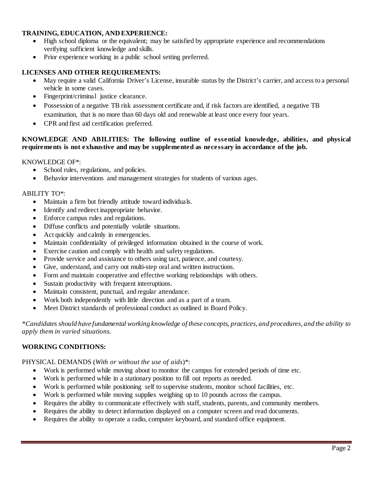# **TRAINING, EDUCATION, AND EXPERIENCE:**

- High school diploma or the equivalent; may be satisfied by appropriate experience and recommendations verifying sufficient knowledge and skills.
- Prior experience working in a public school setting preferred.

## **LICENSES AND OTHER REQUIREMENTS:**

- May require a valid California Driver's License, insurable status by the District's carrier, and access to a personal vehicle in some cases.
- Fingerprint/criminal justice clearance.
- Possession of a negative TB risk assessment certificate and, if risk factors are identified, a negative TB examination, that is no more than 60 days old and renewable at least once every four years.
- CPR and first aid certification preferred.

## **KNOWLEDGE AND ABILITIES: The following outline of essential knowledge, abilities, and physical requirements is not exhaustive and may be supplemented as necessary in accordance of the job.**

KNOWLEDGE OF\*:

- School rules, regulations, and policies.
- Behavior interventions and management strategies for students of various ages.

### ABILITY TO\*:

- Maintain a firm but friendly attitude toward individuals.
- Identify and redirect inappropriate behavior.
- Enforce campus rules and regulations.
- Diffuse conflicts and potentially volatile situations.
- Act quickly and calmly in emergencies.
- Maintain confidentiality of privileged information obtained in the course of work.
- Exercise caution and comply with health and safety regulations.
- Provide service and assistance to others using tact, patience, and courtesy.
- Give, understand, and carry out multi-step oral and written instructions.
- Form and maintain cooperative and effective working relationships with others.
- Sustain productivity with frequent interruptions.
- Maintain consistent, punctual, and regular attendance.
- Work both independently with little direction and as a part of a team.
- Meet District standards of professional conduct as outlined in Board Policy.

*\*Candidates should have fundamental working knowledge of these concepts, practices, and procedures, and the ability to apply them in varied situations.*

### **WORKING CONDITIONS:**

### PHYSICAL DEMANDS (*With or without the use of aids*)\*:

- Work is performed while moving about to monitor the campus for extended periods of time etc.
- Work is performed while in a stationary position to fill out reports as needed.
- Work is performed while positioning self to supervise students, monitor school facilities, etc.
- Work is performed while moving supplies weighing up to 10 pounds across the campus.
- Requires the ability to communicate effectively with staff, students, parents, and community members.
- Requires the ability to detect information displayed on a computer screen and read documents.
- Requires the ability to operate a radio, computer keyboard, and standard office equipment.